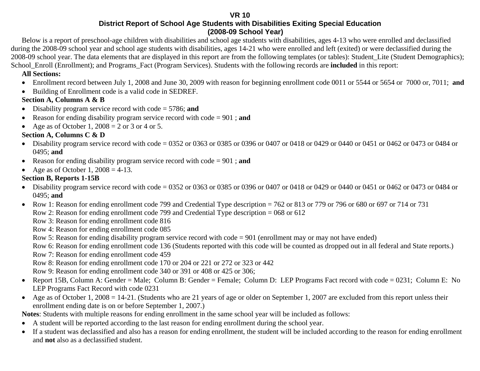**VR 10** 

**District Report of School Age Students with Disabilities Exiting Special Education (2008-09 School Year)**

Below is a report of preschool-age children with disabilities and school age students with disabilities, ages 4-13 who were enrolled and declassified during the 2008-09 school year and school age students with disabilities, ages 14-21 who were enrolled and left (exited) or were declassified during the 2008-09 school year. The data elements that are displayed in this report are from the following templates (or tables): Student\_Lite (Student Demographics); School Enroll (Enrollment); and Programs Fact (Program Services). Students with the following records are **included** in this report:

#### **All Sections:**

- •Enrollment record between July 1, 2008 and June 30, 2009 with reason for beginning enrollment code 0011 or 5544 or 5654 or 7000 or, 7011; **and**
- Building of Enrollment code is a valid code in SEDREF.

#### **Section A, Columns A & B**

- $\bullet$ Disability program service record with code = 5786; **and**
- $\bullet$ Reason for ending disability program service record with code = 901 ; **and**
- Age as of October 1,  $2008 = 2$  or 3 or 4 or 5.

#### **Section A, Columns C & D**

- Disability program service record with code = 0352 or 0363 or 0385 or 0396 or 0407 or 0418 or 0429 or 0440 or 0451 or 0462 or 0473 or 0484 or 0495; **and**
- Reason for ending disability program service record with code = 901 ; **and**
- $\bullet$ Age as of October 1,  $2008 = 4-13$ .

#### **Section B, Reports 1-15B**

- Disability program service record with code = 0352 or 0363 or 0385 or 0396 or 0407 or 0418 or 0429 or 0440 or 0451 or 0462 or 0473 or 0484 or 0495; **and**
- Row 1: Reason for ending enrollment code 799 and Credential Type description = 762 or 813 or 779 or 796 or 680 or 697 or 714 or 731 Row 2: Reason for ending enrollment code 799 and Credential Type description = 068 or 612

Row 3: Reason for ending enrollment code 816

Row 4: Reason for ending enrollment code 085

Row 5: Reason for ending disability program service record with code = 901 (enrollment may or may not have ended)

Row 6: Reason for ending enrollment code 136 (Students reported with this code will be counted as dropped out in all federal and State reports.)

Row 7: Reason for ending enrollment code 459

Row 8: Reason for ending enrollment code 170 or 204 or 221 or 272 or 323 or 442

Row 9: Reason for ending enrollment code 340 or 391 or 408 or 425 or 306;

- Report 15B, Column A: Gender = Male; Column B: Gender = Female; Column D: LEP Programs Fact record with code = 0231; Column E: No LEP Programs Fact Record with code 0231
- Age as of October 1, 2008 = 14-21. (Students who are 21 years of age or older on September 1, 2007 are excluded from this report unless their enrollment ending date is on or before September 1, 2007.)

**Notes**: Students with multiple reasons for ending enrollment in the same school year will be included as follows:

- $\bullet$ A student will be reported according to the last reason for ending enrollment during the school year.
- $\bullet$  If a student was declassified and also has a reason for ending enrollment, the student will be included according to the reason for ending enrollment and **not** also as a declassified student.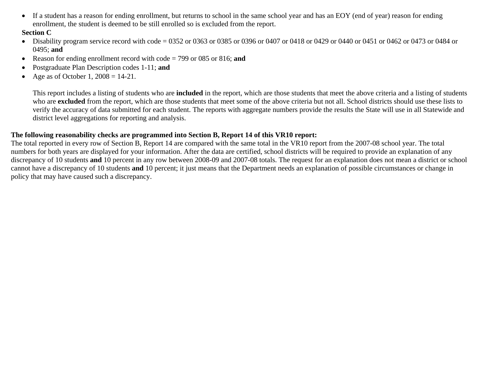$\bullet$  If a student has a reason for ending enrollment, but returns to school in the same school year and has an EOY (end of year) reason for ending enrollment, the student is deemed to be still enrolled so is excluded from the report.

#### **Section C**

- Disability program service record with code = 0352 or 0363 or 0385 or 0396 or 0407 or 0418 or 0429 or 0440 or 0451 or 0462 or 0473 or 0484 or 0495; **and**
- $\bullet$ Reason for ending enrollment record with code = 799 or 085 or 816; **and**
- •Postgraduate Plan Description codes 1-11; **and**
- •Age as of October 1,  $2008 = 14-21$ .

This report includes a listing of students who are **included** in the report, which are those students that meet the above criteria and a listing of students who are **excluded** from the report, which are those students that meet some of the above criteria but not all. School districts should use these lists to verify the accuracy of data submitted for each student. The reports with aggregate numbers provide the results the State will use in all Statewide and district level aggregations for reporting and analysis.

#### **The following reasonability checks are programmed into Section B, Report 14 of this VR10 report:**

The total reported in every row of Section B, Report 14 are compared with the same total in the VR10 report from the 2007-08 school year. The total numbers for both years are displayed for your information. After the data are certified, school districts will be required to provide an explanation of any discrepancy of 10 students **and** 10 percent in any row between 2008-09 and 2007-08 totals. The request for an explanation does not mean a district or school cannot have a discrepancy of 10 students **and** 10 percent; it just means that the Department needs an explanation of possible circumstances or change in policy that may have caused such a discrepancy.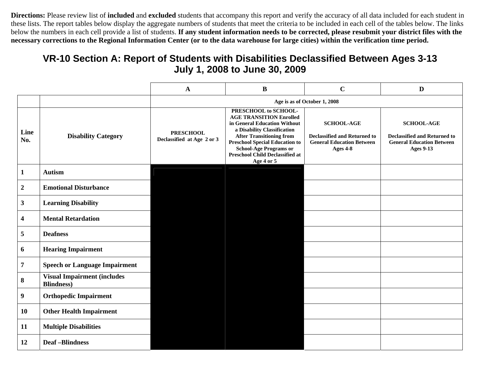**Directions:** Please review list of **included** and **excluded** students that accompany this report and verify the accuracy of all data included for each student in these lists. The report tables below display the aggregate numbers of students that meet the criteria to be included in each cell of the tables below. The links below the numbers in each cell provide a list of students. If any student information needs to be corrected, please resubmit your district files with the **necessary corrections to the Regional Information Center (or to the data warehouse for large cities) within the verification time period.**

### **VR-10 Section A: Report of Students with Disabilities Declassified Between Ages 3-13 July 1, 2008 to June 30, 2009**

|             |                                                           | $\mathbf A$                                    | $\bf{B}$                                                                                                                                                                                                                                                                                   | $\mathbf C$                                                                                              | $\mathbf{D}$                                                                                                     |
|-------------|-----------------------------------------------------------|------------------------------------------------|--------------------------------------------------------------------------------------------------------------------------------------------------------------------------------------------------------------------------------------------------------------------------------------------|----------------------------------------------------------------------------------------------------------|------------------------------------------------------------------------------------------------------------------|
|             |                                                           |                                                |                                                                                                                                                                                                                                                                                            | Age is as of October 1, 2008                                                                             |                                                                                                                  |
| Line<br>No. | <b>Disability Category</b>                                | <b>PRESCHOOL</b><br>Declassified at Age 2 or 3 | PRESCHOOL to SCHOOL-<br><b>AGE TRANSITION Enrolled</b><br>in General Education Without<br>a Disability Classification<br><b>After Transitioning from</b><br><b>Preschool Special Education to</b><br><b>School-Age Programs or</b><br><b>Preschool Child Declassified at</b><br>Age 4 or 5 | <b>SCHOOL-AGE</b><br><b>Declassified and Returned to</b><br><b>General Education Between</b><br>Ages 4-8 | <b>SCHOOL-AGE</b><br><b>Declassified and Returned to</b><br><b>General Education Between</b><br><b>Ages 9-13</b> |
| 1           | <b>Autism</b>                                             |                                                |                                                                                                                                                                                                                                                                                            |                                                                                                          |                                                                                                                  |
| 2           | <b>Emotional Disturbance</b>                              |                                                |                                                                                                                                                                                                                                                                                            |                                                                                                          |                                                                                                                  |
| 3           | <b>Learning Disability</b>                                |                                                |                                                                                                                                                                                                                                                                                            |                                                                                                          |                                                                                                                  |
| 4           | <b>Mental Retardation</b>                                 |                                                |                                                                                                                                                                                                                                                                                            |                                                                                                          |                                                                                                                  |
| 5           | <b>Deafness</b>                                           |                                                |                                                                                                                                                                                                                                                                                            |                                                                                                          |                                                                                                                  |
| 6           | <b>Hearing Impairment</b>                                 |                                                |                                                                                                                                                                                                                                                                                            |                                                                                                          |                                                                                                                  |
| 7           | <b>Speech or Language Impairment</b>                      |                                                |                                                                                                                                                                                                                                                                                            |                                                                                                          |                                                                                                                  |
| 8           | <b>Visual Impairment (includes)</b><br><b>Blindness</b> ) |                                                |                                                                                                                                                                                                                                                                                            |                                                                                                          |                                                                                                                  |
| 9           | <b>Orthopedic Impairment</b>                              |                                                |                                                                                                                                                                                                                                                                                            |                                                                                                          |                                                                                                                  |
| 10          | <b>Other Health Impairment</b>                            |                                                |                                                                                                                                                                                                                                                                                            |                                                                                                          |                                                                                                                  |
| 11          | <b>Multiple Disabilities</b>                              |                                                |                                                                                                                                                                                                                                                                                            |                                                                                                          |                                                                                                                  |
| 12          | <b>Deaf-Blindness</b>                                     |                                                |                                                                                                                                                                                                                                                                                            |                                                                                                          |                                                                                                                  |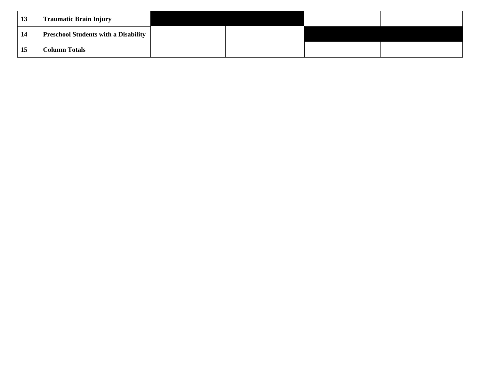| 13 | <b>Traumatic Brain Injury</b>               |  |  |
|----|---------------------------------------------|--|--|
| 14 | <b>Preschool Students with a Disability</b> |  |  |
| 15 | <b>Column Totals</b>                        |  |  |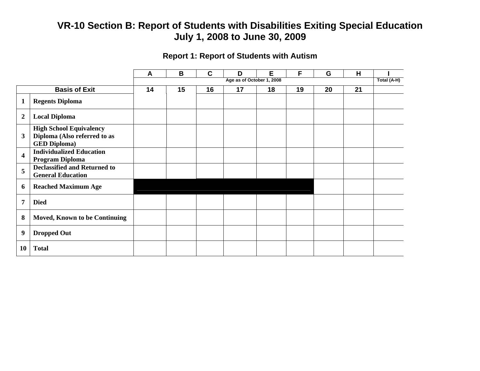### **Report 1: Report of Students with Autism**

|                         |                                      | A  | B  | $\mathbf C$ | D                         | Е  | F  | G  | H  |             |
|-------------------------|--------------------------------------|----|----|-------------|---------------------------|----|----|----|----|-------------|
|                         |                                      |    |    |             | Age as of October 1, 2008 |    |    |    |    | Total (A-H) |
|                         | <b>Basis of Exit</b>                 | 14 | 15 | 16          | 17                        | 18 | 19 | 20 | 21 |             |
| 1                       | <b>Regents Diploma</b>               |    |    |             |                           |    |    |    |    |             |
| $\overline{2}$          | <b>Local Diploma</b>                 |    |    |             |                           |    |    |    |    |             |
|                         | <b>High School Equivalency</b>       |    |    |             |                           |    |    |    |    |             |
| 3                       | Diploma (Also referred to as         |    |    |             |                           |    |    |    |    |             |
|                         | <b>GED Diploma)</b>                  |    |    |             |                           |    |    |    |    |             |
| $\overline{\mathbf{4}}$ | <b>Individualized Education</b>      |    |    |             |                           |    |    |    |    |             |
|                         | Program Diploma                      |    |    |             |                           |    |    |    |    |             |
| 5                       | <b>Declassified and Returned to</b>  |    |    |             |                           |    |    |    |    |             |
|                         | <b>General Education</b>             |    |    |             |                           |    |    |    |    |             |
| 6                       | <b>Reached Maximum Age</b>           |    |    |             |                           |    |    |    |    |             |
| $\overline{7}$          | <b>Died</b>                          |    |    |             |                           |    |    |    |    |             |
| 8                       | <b>Moved, Known to be Continuing</b> |    |    |             |                           |    |    |    |    |             |
| 9                       | <b>Dropped Out</b>                   |    |    |             |                           |    |    |    |    |             |
| <b>10</b>               | <b>Total</b>                         |    |    |             |                           |    |    |    |    |             |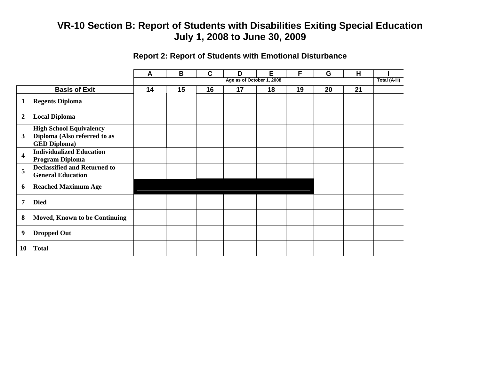### **Report 2: Report of Students with Emotional Disturbance**

|                         |                                     | A  | B  | $\mathbf C$ | D                         | E  | F  | G  | H  |             |
|-------------------------|-------------------------------------|----|----|-------------|---------------------------|----|----|----|----|-------------|
|                         |                                     |    |    |             | Age as of October 1, 2008 |    |    |    |    | Total (A-H) |
|                         | <b>Basis of Exit</b>                | 14 | 15 | 16          | 17                        | 18 | 19 | 20 | 21 |             |
| 1                       | <b>Regents Diploma</b>              |    |    |             |                           |    |    |    |    |             |
| $\overline{2}$          | <b>Local Diploma</b>                |    |    |             |                           |    |    |    |    |             |
|                         | <b>High School Equivalency</b>      |    |    |             |                           |    |    |    |    |             |
| $\mathbf{3}$            | Diploma (Also referred to as        |    |    |             |                           |    |    |    |    |             |
|                         | <b>GED Diploma)</b>                 |    |    |             |                           |    |    |    |    |             |
| $\overline{\mathbf{4}}$ | <b>Individualized Education</b>     |    |    |             |                           |    |    |    |    |             |
|                         | Program Diploma                     |    |    |             |                           |    |    |    |    |             |
| 5                       | <b>Declassified and Returned to</b> |    |    |             |                           |    |    |    |    |             |
|                         | <b>General Education</b>            |    |    |             |                           |    |    |    |    |             |
| 6                       | <b>Reached Maximum Age</b>          |    |    |             |                           |    |    |    |    |             |
| $\overline{7}$          | <b>Died</b>                         |    |    |             |                           |    |    |    |    |             |
| 8                       | Moved, Known to be Continuing       |    |    |             |                           |    |    |    |    |             |
| 9                       | <b>Dropped Out</b>                  |    |    |             |                           |    |    |    |    |             |
| <b>10</b>               | <b>Total</b>                        |    |    |             |                           |    |    |    |    |             |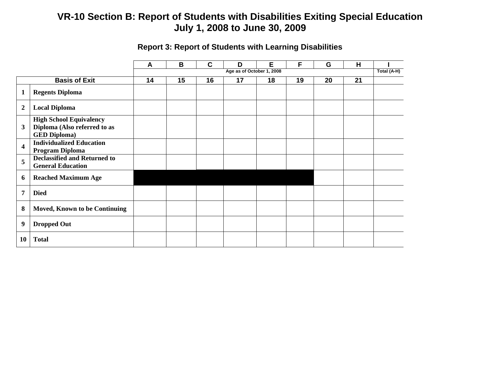|                         |                                                                                       | A  | B  | C  | D                         | Е  | F  | G  | H  |             |
|-------------------------|---------------------------------------------------------------------------------------|----|----|----|---------------------------|----|----|----|----|-------------|
|                         |                                                                                       |    |    |    | Age as of October 1, 2008 |    |    |    |    | Total (A-H) |
|                         | <b>Basis of Exit</b>                                                                  | 14 | 15 | 16 | 17                        | 18 | 19 | 20 | 21 |             |
| $\mathbf{1}$            | <b>Regents Diploma</b>                                                                |    |    |    |                           |    |    |    |    |             |
| $\overline{2}$          | <b>Local Diploma</b>                                                                  |    |    |    |                           |    |    |    |    |             |
| $\mathbf{3}$            | <b>High School Equivalency</b><br>Diploma (Also referred to as<br><b>GED Diploma)</b> |    |    |    |                           |    |    |    |    |             |
| $\overline{\mathbf{4}}$ | <b>Individualized Education</b><br><b>Program Diploma</b>                             |    |    |    |                           |    |    |    |    |             |
| 5                       | <b>Declassified and Returned to</b><br><b>General Education</b>                       |    |    |    |                           |    |    |    |    |             |
| 6                       | <b>Reached Maximum Age</b>                                                            |    |    |    |                           |    |    |    |    |             |
| $\overline{7}$          | <b>Died</b>                                                                           |    |    |    |                           |    |    |    |    |             |
| 8                       | Moved, Known to be Continuing                                                         |    |    |    |                           |    |    |    |    |             |
| 9                       | <b>Dropped Out</b>                                                                    |    |    |    |                           |    |    |    |    |             |
| 10                      | <b>Total</b>                                                                          |    |    |    |                           |    |    |    |    |             |

### **Report 3: Report of Students with Learning Disabilities**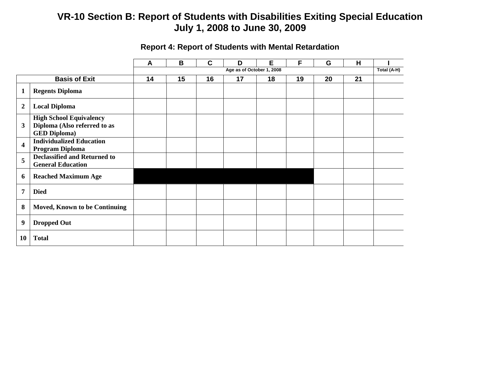|                         |                                                                                       | A  | B  | $\mathbf c$ | D                         | Е  | F  | G  | H  |             |
|-------------------------|---------------------------------------------------------------------------------------|----|----|-------------|---------------------------|----|----|----|----|-------------|
|                         |                                                                                       |    |    |             | Age as of October 1, 2008 |    |    |    |    | Total (A-H) |
|                         | <b>Basis of Exit</b>                                                                  | 14 | 15 | 16          | 17                        | 18 | 19 | 20 | 21 |             |
|                         | <b>Regents Diploma</b>                                                                |    |    |             |                           |    |    |    |    |             |
| $\boldsymbol{2}$        | <b>Local Diploma</b>                                                                  |    |    |             |                           |    |    |    |    |             |
| $\mathbf{3}$            | <b>High School Equivalency</b><br>Diploma (Also referred to as<br><b>GED Diploma)</b> |    |    |             |                           |    |    |    |    |             |
| $\overline{\mathbf{4}}$ | <b>Individualized Education</b><br>Program Diploma                                    |    |    |             |                           |    |    |    |    |             |
| 5                       | <b>Declassified and Returned to</b><br><b>General Education</b>                       |    |    |             |                           |    |    |    |    |             |
| 6                       | <b>Reached Maximum Age</b>                                                            |    |    |             |                           |    |    |    |    |             |
| $\overline{7}$          | <b>Died</b>                                                                           |    |    |             |                           |    |    |    |    |             |
| 8                       | <b>Moved, Known to be Continuing</b>                                                  |    |    |             |                           |    |    |    |    |             |
| $\boldsymbol{9}$        | <b>Dropped Out</b>                                                                    |    |    |             |                           |    |    |    |    |             |
| 10                      | <b>Total</b>                                                                          |    |    |             |                           |    |    |    |    |             |

### **Report 4: Report of Students with Mental Retardation**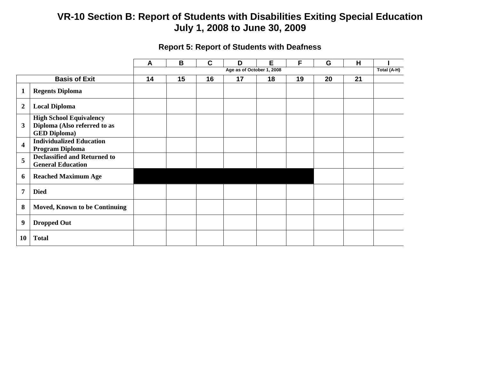|                         |                                                                                       | A  | B  | C  | D                         | Е  | F  | G  | H  |             |
|-------------------------|---------------------------------------------------------------------------------------|----|----|----|---------------------------|----|----|----|----|-------------|
|                         |                                                                                       |    |    |    | Age as of October 1, 2008 |    |    |    |    | Total (A-H) |
|                         | <b>Basis of Exit</b>                                                                  | 14 | 15 | 16 | 17                        | 18 | 19 | 20 | 21 |             |
| $\mathbf{1}$            | <b>Regents Diploma</b>                                                                |    |    |    |                           |    |    |    |    |             |
| $\boldsymbol{2}$        | <b>Local Diploma</b>                                                                  |    |    |    |                           |    |    |    |    |             |
| 3                       | <b>High School Equivalency</b><br>Diploma (Also referred to as<br><b>GED Diploma)</b> |    |    |    |                           |    |    |    |    |             |
| $\overline{\mathbf{4}}$ | <b>Individualized Education</b><br>Program Diploma                                    |    |    |    |                           |    |    |    |    |             |
| 5                       | <b>Declassified and Returned to</b><br><b>General Education</b>                       |    |    |    |                           |    |    |    |    |             |
| 6                       | <b>Reached Maximum Age</b>                                                            |    |    |    |                           |    |    |    |    |             |
| $\overline{7}$          | <b>Died</b>                                                                           |    |    |    |                           |    |    |    |    |             |
| 8                       | <b>Moved, Known to be Continuing</b>                                                  |    |    |    |                           |    |    |    |    |             |
| 9                       | <b>Dropped Out</b>                                                                    |    |    |    |                           |    |    |    |    |             |
| 10                      | <b>Total</b>                                                                          |    |    |    |                           |    |    |    |    |             |

### **Report 5: Report of Students with Deafness**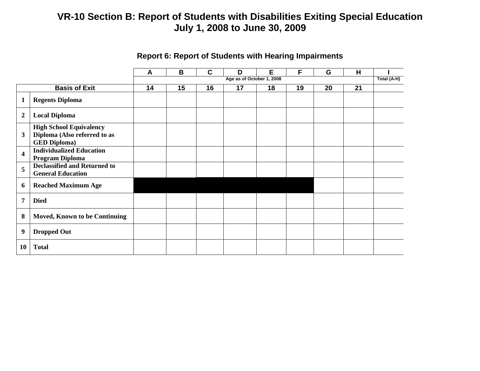|                         |                                                                                       | A  | B  | C  | D                         | Е  | F  | G  | H  |             |
|-------------------------|---------------------------------------------------------------------------------------|----|----|----|---------------------------|----|----|----|----|-------------|
|                         |                                                                                       |    |    |    | Age as of October 1, 2008 |    |    |    |    | Total (A-H) |
|                         | <b>Basis of Exit</b>                                                                  | 14 | 15 | 16 | 17                        | 18 | 19 | 20 | 21 |             |
| $\mathbf{1}$            | <b>Regents Diploma</b>                                                                |    |    |    |                           |    |    |    |    |             |
| $\boldsymbol{2}$        | <b>Local Diploma</b>                                                                  |    |    |    |                           |    |    |    |    |             |
| $\mathbf{3}$            | <b>High School Equivalency</b><br>Diploma (Also referred to as<br><b>GED Diploma)</b> |    |    |    |                           |    |    |    |    |             |
| $\overline{\mathbf{4}}$ | <b>Individualized Education</b><br>Program Diploma                                    |    |    |    |                           |    |    |    |    |             |
| 5                       | <b>Declassified and Returned to</b><br><b>General Education</b>                       |    |    |    |                           |    |    |    |    |             |
| 6                       | <b>Reached Maximum Age</b>                                                            |    |    |    |                           |    |    |    |    |             |
| $\overline{7}$          | <b>Died</b>                                                                           |    |    |    |                           |    |    |    |    |             |
| 8                       | <b>Moved, Known to be Continuing</b>                                                  |    |    |    |                           |    |    |    |    |             |
| $\boldsymbol{9}$        | <b>Dropped Out</b>                                                                    |    |    |    |                           |    |    |    |    |             |
| 10                      | <b>Total</b>                                                                          |    |    |    |                           |    |    |    |    |             |

### **Report 6: Report of Students with Hearing Impairments**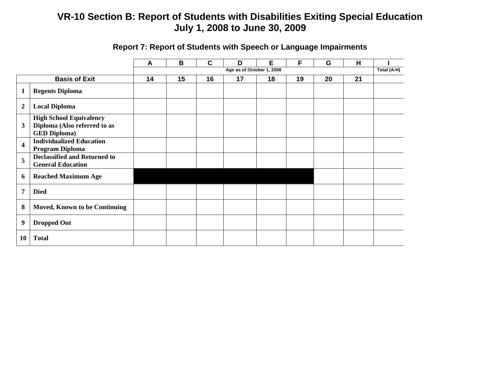|                         |                                                                 | A  | B  | $\mathbf c$ | D                         | E  | F  | G  | H  |             |
|-------------------------|-----------------------------------------------------------------|----|----|-------------|---------------------------|----|----|----|----|-------------|
|                         |                                                                 |    |    |             | Age as of October 1, 2008 |    |    |    |    | Total (A-H) |
|                         | <b>Basis of Exit</b>                                            | 14 | 15 | 16          | 17                        | 18 | 19 | 20 | 21 |             |
| $\mathbf{1}$            | <b>Regents Diploma</b>                                          |    |    |             |                           |    |    |    |    |             |
| $\boldsymbol{2}$        | <b>Local Diploma</b>                                            |    |    |             |                           |    |    |    |    |             |
|                         | <b>High School Equivalency</b>                                  |    |    |             |                           |    |    |    |    |             |
| 3                       | Diploma (Also referred to as                                    |    |    |             |                           |    |    |    |    |             |
|                         | <b>GED Diploma)</b>                                             |    |    |             |                           |    |    |    |    |             |
| $\overline{\mathbf{4}}$ | <b>Individualized Education</b>                                 |    |    |             |                           |    |    |    |    |             |
|                         | <b>Program Diploma</b>                                          |    |    |             |                           |    |    |    |    |             |
| 5                       | <b>Declassified and Returned to</b><br><b>General Education</b> |    |    |             |                           |    |    |    |    |             |
|                         |                                                                 |    |    |             |                           |    |    |    |    |             |
| 6                       | <b>Reached Maximum Age</b>                                      |    |    |             |                           |    |    |    |    |             |
| $\overline{7}$          | <b>Died</b>                                                     |    |    |             |                           |    |    |    |    |             |
| 8                       | <b>Moved, Known to be Continuing</b>                            |    |    |             |                           |    |    |    |    |             |
| $\boldsymbol{9}$        | <b>Dropped Out</b>                                              |    |    |             |                           |    |    |    |    |             |
| <b>10</b>               | <b>Total</b>                                                    |    |    |             |                           |    |    |    |    |             |

# **Report 7: Report of Students with Speech or Language Impairments**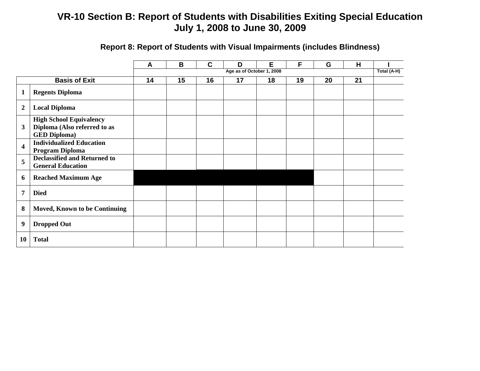|                         |                                                                                       | A  | B  | $\mathbf C$ | D                         | E  | F  | G  | H  |             |
|-------------------------|---------------------------------------------------------------------------------------|----|----|-------------|---------------------------|----|----|----|----|-------------|
|                         |                                                                                       |    |    |             | Age as of October 1, 2008 |    |    |    |    | Total (A-H) |
|                         | <b>Basis of Exit</b>                                                                  | 14 | 15 | 16          | 17                        | 18 | 19 | 20 | 21 |             |
| 1                       | <b>Regents Diploma</b>                                                                |    |    |             |                           |    |    |    |    |             |
| $\boldsymbol{2}$        | <b>Local Diploma</b>                                                                  |    |    |             |                           |    |    |    |    |             |
| 3                       | <b>High School Equivalency</b><br>Diploma (Also referred to as<br><b>GED Diploma)</b> |    |    |             |                           |    |    |    |    |             |
| $\overline{\mathbf{4}}$ | <b>Individualized Education</b><br>Program Diploma                                    |    |    |             |                           |    |    |    |    |             |
| 5                       | <b>Declassified and Returned to</b><br><b>General Education</b>                       |    |    |             |                           |    |    |    |    |             |
| 6                       | <b>Reached Maximum Age</b>                                                            |    |    |             |                           |    |    |    |    |             |
| 7                       | <b>Died</b>                                                                           |    |    |             |                           |    |    |    |    |             |
| 8                       | <b>Moved, Known to be Continuing</b>                                                  |    |    |             |                           |    |    |    |    |             |
| $\boldsymbol{9}$        | <b>Dropped Out</b>                                                                    |    |    |             |                           |    |    |    |    |             |
| <b>10</b>               | <b>Total</b>                                                                          |    |    |             |                           |    |    |    |    |             |

### **Report 8: Report of Students with Visual Impairments (includes Blindness)**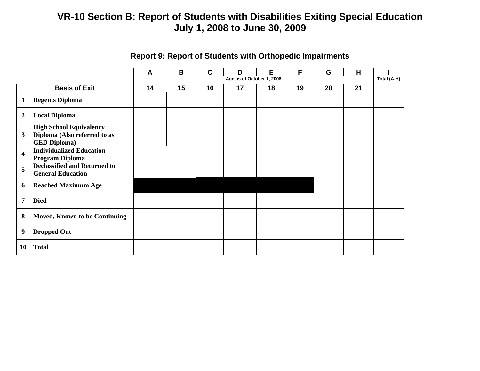|                         |                                                                                       | E<br>H<br>B<br>C<br>F<br>G<br>D<br>A |    |    |                           |    |    |    |    |             |
|-------------------------|---------------------------------------------------------------------------------------|--------------------------------------|----|----|---------------------------|----|----|----|----|-------------|
|                         |                                                                                       |                                      |    |    | Age as of October 1, 2008 |    |    |    |    | Total (A-H) |
|                         | <b>Basis of Exit</b>                                                                  | 14                                   | 15 | 16 | 17                        | 18 | 19 | 20 | 21 |             |
| $\mathbf{1}$            | <b>Regents Diploma</b>                                                                |                                      |    |    |                           |    |    |    |    |             |
| $\overline{2}$          | <b>Local Diploma</b>                                                                  |                                      |    |    |                           |    |    |    |    |             |
| 3                       | <b>High School Equivalency</b><br>Diploma (Also referred to as<br><b>GED Diploma)</b> |                                      |    |    |                           |    |    |    |    |             |
| $\overline{\mathbf{4}}$ | <b>Individualized Education</b><br><b>Program Diploma</b>                             |                                      |    |    |                           |    |    |    |    |             |
| 5                       | <b>Declassified and Returned to</b><br><b>General Education</b>                       |                                      |    |    |                           |    |    |    |    |             |
| 6                       | <b>Reached Maximum Age</b>                                                            |                                      |    |    |                           |    |    |    |    |             |
| $\overline{7}$          | <b>Died</b>                                                                           |                                      |    |    |                           |    |    |    |    |             |
| 8                       | <b>Moved, Known to be Continuing</b>                                                  |                                      |    |    |                           |    |    |    |    |             |
| $\boldsymbol{9}$        | <b>Dropped Out</b>                                                                    |                                      |    |    |                           |    |    |    |    |             |
| 10                      | <b>Total</b>                                                                          |                                      |    |    |                           |    |    |    |    |             |

### **Report 9: Report of Students with Orthopedic Impairments**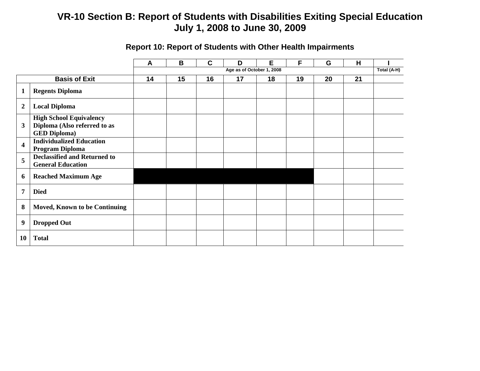|                         |                                                                                       | $\mathbf{A}$ | B  | C  | D                         | Е  | F  | G  | н  |             |
|-------------------------|---------------------------------------------------------------------------------------|--------------|----|----|---------------------------|----|----|----|----|-------------|
|                         |                                                                                       |              |    |    | Age as of October 1, 2008 |    |    |    |    | Total (A-H) |
|                         | <b>Basis of Exit</b>                                                                  | 14           | 15 | 16 | 17                        | 18 | 19 | 20 | 21 |             |
| $\mathbf{1}$            | <b>Regents Diploma</b>                                                                |              |    |    |                           |    |    |    |    |             |
| $\overline{2}$          | <b>Local Diploma</b>                                                                  |              |    |    |                           |    |    |    |    |             |
| $\mathbf{3}$            | <b>High School Equivalency</b><br>Diploma (Also referred to as<br><b>GED Diploma)</b> |              |    |    |                           |    |    |    |    |             |
| $\overline{\mathbf{4}}$ | <b>Individualized Education</b><br>Program Diploma                                    |              |    |    |                           |    |    |    |    |             |
| 5                       | <b>Declassified and Returned to</b><br><b>General Education</b>                       |              |    |    |                           |    |    |    |    |             |
| 6                       | <b>Reached Maximum Age</b>                                                            |              |    |    |                           |    |    |    |    |             |
| $\overline{7}$          | <b>Died</b>                                                                           |              |    |    |                           |    |    |    |    |             |
| 8                       | <b>Moved, Known to be Continuing</b>                                                  |              |    |    |                           |    |    |    |    |             |
| 9                       | <b>Dropped Out</b>                                                                    |              |    |    |                           |    |    |    |    |             |
| <b>10</b>               | <b>Total</b>                                                                          |              |    |    |                           |    |    |    |    |             |

# **Report 10: Report of Students with Other Health Impairments**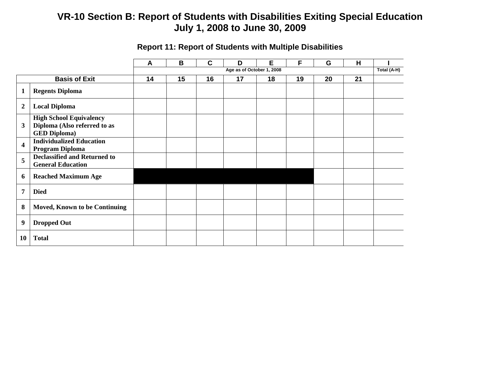|                         |                                                                                       | A                         | B  | C  | D  | E  | F           | G  | н  |  |
|-------------------------|---------------------------------------------------------------------------------------|---------------------------|----|----|----|----|-------------|----|----|--|
|                         |                                                                                       | Age as of October 1, 2008 |    |    |    |    | Total (A-H) |    |    |  |
|                         | <b>Basis of Exit</b>                                                                  | 14                        | 15 | 16 | 17 | 18 | 19          | 20 | 21 |  |
| $\mathbf{1}$            | <b>Regents Diploma</b>                                                                |                           |    |    |    |    |             |    |    |  |
| $\overline{2}$          | <b>Local Diploma</b>                                                                  |                           |    |    |    |    |             |    |    |  |
| $\mathbf{3}$            | <b>High School Equivalency</b><br>Diploma (Also referred to as<br><b>GED Diploma)</b> |                           |    |    |    |    |             |    |    |  |
| $\overline{\mathbf{4}}$ | <b>Individualized Education</b><br>Program Diploma                                    |                           |    |    |    |    |             |    |    |  |
| 5                       | <b>Declassified and Returned to</b><br><b>General Education</b>                       |                           |    |    |    |    |             |    |    |  |
| 6                       | <b>Reached Maximum Age</b>                                                            |                           |    |    |    |    |             |    |    |  |
| 7                       | <b>Died</b>                                                                           |                           |    |    |    |    |             |    |    |  |
| 8                       | Moved, Known to be Continuing                                                         |                           |    |    |    |    |             |    |    |  |
| $\boldsymbol{9}$        | <b>Dropped Out</b>                                                                    |                           |    |    |    |    |             |    |    |  |
| 10                      | <b>Total</b>                                                                          |                           |    |    |    |    |             |    |    |  |

### **Report 11: Report of Students with Multiple Disabilities**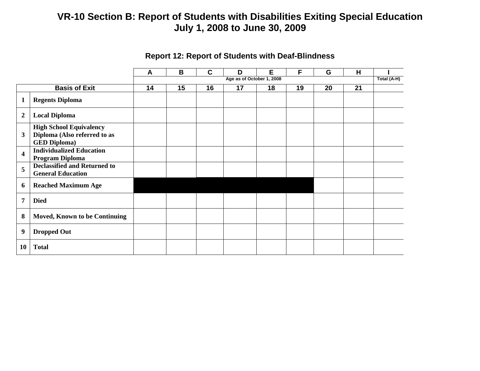|                         |                                                                                       | A  | B  | C  | D  | Е  | F  | G           | H  |  |
|-------------------------|---------------------------------------------------------------------------------------|----|----|----|----|----|----|-------------|----|--|
|                         |                                                                                       |    |    |    |    |    |    | Total (A-H) |    |  |
|                         | <b>Basis of Exit</b>                                                                  | 14 | 15 | 16 | 17 | 18 | 19 | 20          | 21 |  |
| $\mathbf{1}$            | <b>Regents Diploma</b>                                                                |    |    |    |    |    |    |             |    |  |
| $\boldsymbol{2}$        | <b>Local Diploma</b>                                                                  |    |    |    |    |    |    |             |    |  |
| 3                       | <b>High School Equivalency</b><br>Diploma (Also referred to as<br><b>GED Diploma)</b> |    |    |    |    |    |    |             |    |  |
| $\overline{\mathbf{4}}$ | <b>Individualized Education</b><br>Program Diploma                                    |    |    |    |    |    |    |             |    |  |
| 5                       | <b>Declassified and Returned to</b><br><b>General Education</b>                       |    |    |    |    |    |    |             |    |  |
| 6                       | <b>Reached Maximum Age</b>                                                            |    |    |    |    |    |    |             |    |  |
| $\overline{7}$          | <b>Died</b>                                                                           |    |    |    |    |    |    |             |    |  |
| 8                       | Moved, Known to be Continuing                                                         |    |    |    |    |    |    |             |    |  |
| $\boldsymbol{9}$        | <b>Dropped Out</b>                                                                    |    |    |    |    |    |    |             |    |  |
| 10                      | <b>Total</b>                                                                          |    |    |    |    |    |    |             |    |  |

### **Report 12: Report of Students with Deaf-Blindness**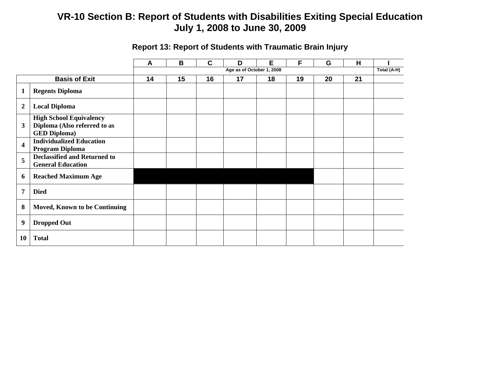|                         |                                                                                       | A  | B                         | $\mathbf c$ | D  | Е  | F  | G  | н  | Total (A-H) |
|-------------------------|---------------------------------------------------------------------------------------|----|---------------------------|-------------|----|----|----|----|----|-------------|
|                         |                                                                                       |    | Age as of October 1, 2008 |             |    |    |    |    |    |             |
|                         | <b>Basis of Exit</b>                                                                  | 14 | 15                        | 16          | 17 | 18 | 19 | 20 | 21 |             |
| 1                       | <b>Regents Diploma</b>                                                                |    |                           |             |    |    |    |    |    |             |
| $\overline{2}$          | <b>Local Diploma</b>                                                                  |    |                           |             |    |    |    |    |    |             |
| 3                       | <b>High School Equivalency</b><br>Diploma (Also referred to as<br><b>GED Diploma)</b> |    |                           |             |    |    |    |    |    |             |
| $\overline{\mathbf{4}}$ | <b>Individualized Education</b><br>Program Diploma                                    |    |                           |             |    |    |    |    |    |             |
| 5                       | <b>Declassified and Returned to</b><br><b>General Education</b>                       |    |                           |             |    |    |    |    |    |             |
| 6                       | <b>Reached Maximum Age</b>                                                            |    |                           |             |    |    |    |    |    |             |
| $\overline{7}$          | <b>Died</b>                                                                           |    |                           |             |    |    |    |    |    |             |
| 8                       | <b>Moved, Known to be Continuing</b>                                                  |    |                           |             |    |    |    |    |    |             |
| $\boldsymbol{9}$        | <b>Dropped Out</b>                                                                    |    |                           |             |    |    |    |    |    |             |
| 10                      | <b>Total</b>                                                                          |    |                           |             |    |    |    |    |    |             |

### **Report 13: Report of Students with Traumatic Brain Injury**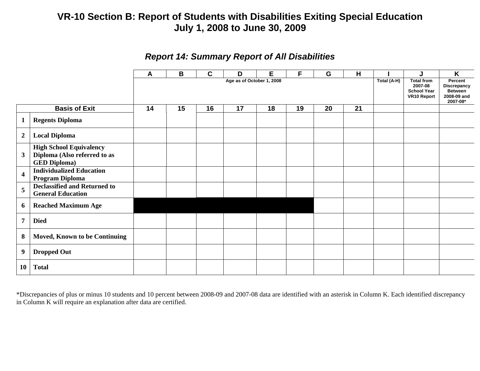|                         |                                                                                       | A  | B  | C  | D  | E           | F                                                                        | G                                                                   | H  |  | J | K |
|-------------------------|---------------------------------------------------------------------------------------|----|----|----|----|-------------|--------------------------------------------------------------------------|---------------------------------------------------------------------|----|--|---|---|
|                         |                                                                                       |    |    |    |    | Total (A-H) | <b>Total from</b><br>2007-08<br><b>School Year</b><br><b>VR10 Report</b> | Percent<br>Discrepancy<br><b>Between</b><br>2008-09 and<br>2007-08* |    |  |   |   |
|                         | <b>Basis of Exit</b>                                                                  | 14 | 15 | 16 | 17 | 18          | 19                                                                       | 20                                                                  | 21 |  |   |   |
| $\mathbf 1$             | <b>Regents Diploma</b>                                                                |    |    |    |    |             |                                                                          |                                                                     |    |  |   |   |
| $\boldsymbol{2}$        | <b>Local Diploma</b>                                                                  |    |    |    |    |             |                                                                          |                                                                     |    |  |   |   |
| 3                       | <b>High School Equivalency</b><br>Diploma (Also referred to as<br><b>GED Diploma)</b> |    |    |    |    |             |                                                                          |                                                                     |    |  |   |   |
| $\overline{\mathbf{4}}$ | <b>Individualized Education</b><br><b>Program Diploma</b>                             |    |    |    |    |             |                                                                          |                                                                     |    |  |   |   |
| 5                       | <b>Declassified and Returned to</b><br><b>General Education</b>                       |    |    |    |    |             |                                                                          |                                                                     |    |  |   |   |
| 6                       | <b>Reached Maximum Age</b>                                                            |    |    |    |    |             |                                                                          |                                                                     |    |  |   |   |
| $\overline{7}$          | <b>Died</b>                                                                           |    |    |    |    |             |                                                                          |                                                                     |    |  |   |   |
| 8                       | <b>Moved, Known to be Continuing</b>                                                  |    |    |    |    |             |                                                                          |                                                                     |    |  |   |   |
| 9                       | <b>Dropped Out</b>                                                                    |    |    |    |    |             |                                                                          |                                                                     |    |  |   |   |
| <b>10</b>               | <b>Total</b>                                                                          |    |    |    |    |             |                                                                          |                                                                     |    |  |   |   |

### *Report 14: Summary Report of All Disabilities*

\*Discrepancies of plus or minus 10 students and 10 percent between 2008-09 and 2007-08 data are identified with an asterisk in Column K. Each identified discrepancy in Column K will require an explanation after data are certified.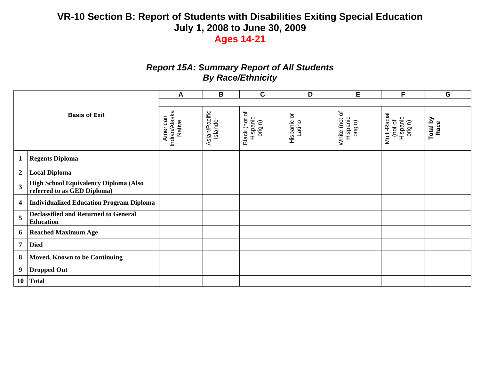### *Report 15A: Summary Report of All Students By Race/Ethnicity*

|                         |                                                                      | A                                   | $\mathbf B$               | $\mathbf C$                          | D                                        | E                                    | F                                              | G                |
|-------------------------|----------------------------------------------------------------------|-------------------------------------|---------------------------|--------------------------------------|------------------------------------------|--------------------------------------|------------------------------------------------|------------------|
|                         |                                                                      |                                     |                           |                                      |                                          |                                      |                                                |                  |
|                         | <b>Basis of Exit</b>                                                 | Indian/Alaska<br>Native<br>American | Asian/Pacific<br>Islander | Black (not of<br>Hispanic<br>origin) | $\rm \overline{o}$<br>Hispanic<br>Latino | White (not of<br>Hispanic<br>origin) | Multi-Racial<br>Hispanic<br>origin)<br>(not of | Total by<br>Race |
| 1                       | <b>Regents Diploma</b>                                               |                                     |                           |                                      |                                          |                                      |                                                |                  |
| $\overline{2}$          | <b>Local Diploma</b>                                                 |                                     |                           |                                      |                                          |                                      |                                                |                  |
| $\overline{\mathbf{3}}$ | High School Equivalency Diploma (Also<br>referred to as GED Diploma) |                                     |                           |                                      |                                          |                                      |                                                |                  |
| 4                       | <b>Individualized Education Program Diploma</b>                      |                                     |                           |                                      |                                          |                                      |                                                |                  |
| 5                       | <b>Declassified and Returned to General</b><br><b>Education</b>      |                                     |                           |                                      |                                          |                                      |                                                |                  |
| 6                       | <b>Reached Maximum Age</b>                                           |                                     |                           |                                      |                                          |                                      |                                                |                  |
| $\overline{7}$          | <b>Died</b>                                                          |                                     |                           |                                      |                                          |                                      |                                                |                  |
| 8                       | <b>Moved, Known to be Continuing</b>                                 |                                     |                           |                                      |                                          |                                      |                                                |                  |
| 9                       | <b>Dropped Out</b>                                                   |                                     |                           |                                      |                                          |                                      |                                                |                  |
| <b>10</b>               | <b>Total</b>                                                         |                                     |                           |                                      |                                          |                                      |                                                |                  |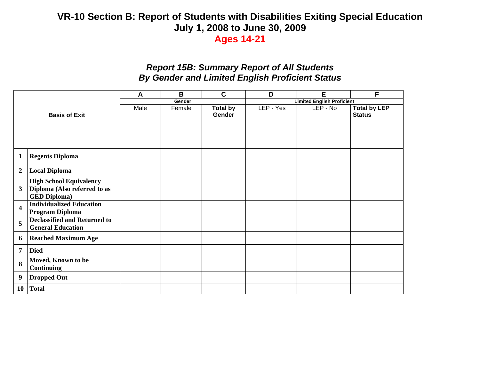### *Report 15B: Summary Report of All Students By Gender and Limited English Proficient Status*

|                         |                                                                                       | A    | B      | $\mathbf C$               | D                                 | E        | F                                    |  |  |  |
|-------------------------|---------------------------------------------------------------------------------------|------|--------|---------------------------|-----------------------------------|----------|--------------------------------------|--|--|--|
|                         |                                                                                       |      | Gender |                           | <b>Limited English Proficient</b> |          |                                      |  |  |  |
| <b>Basis of Exit</b>    |                                                                                       | Male | Female | <b>Total by</b><br>Gender | LEP - Yes                         | LEP - No | <b>Total by LEP</b><br><b>Status</b> |  |  |  |
| $\mathbf{1}$            | <b>Regents Diploma</b>                                                                |      |        |                           |                                   |          |                                      |  |  |  |
| $\overline{2}$          | <b>Local Diploma</b>                                                                  |      |        |                           |                                   |          |                                      |  |  |  |
| 3                       | <b>High School Equivalency</b><br>Diploma (Also referred to as<br><b>GED Diploma)</b> |      |        |                           |                                   |          |                                      |  |  |  |
| $\overline{\mathbf{4}}$ | <b>Individualized Education</b><br><b>Program Diploma</b>                             |      |        |                           |                                   |          |                                      |  |  |  |
| 5                       | <b>Declassified and Returned to</b><br><b>General Education</b>                       |      |        |                           |                                   |          |                                      |  |  |  |
| 6                       | <b>Reached Maximum Age</b>                                                            |      |        |                           |                                   |          |                                      |  |  |  |
| $\overline{7}$          | <b>Died</b>                                                                           |      |        |                           |                                   |          |                                      |  |  |  |
| 8                       | Moved, Known to be<br><b>Continuing</b>                                               |      |        |                           |                                   |          |                                      |  |  |  |
| 9                       | <b>Dropped Out</b>                                                                    |      |        |                           |                                   |          |                                      |  |  |  |
| 10                      | <b>Total</b>                                                                          |      |        |                           |                                   |          |                                      |  |  |  |